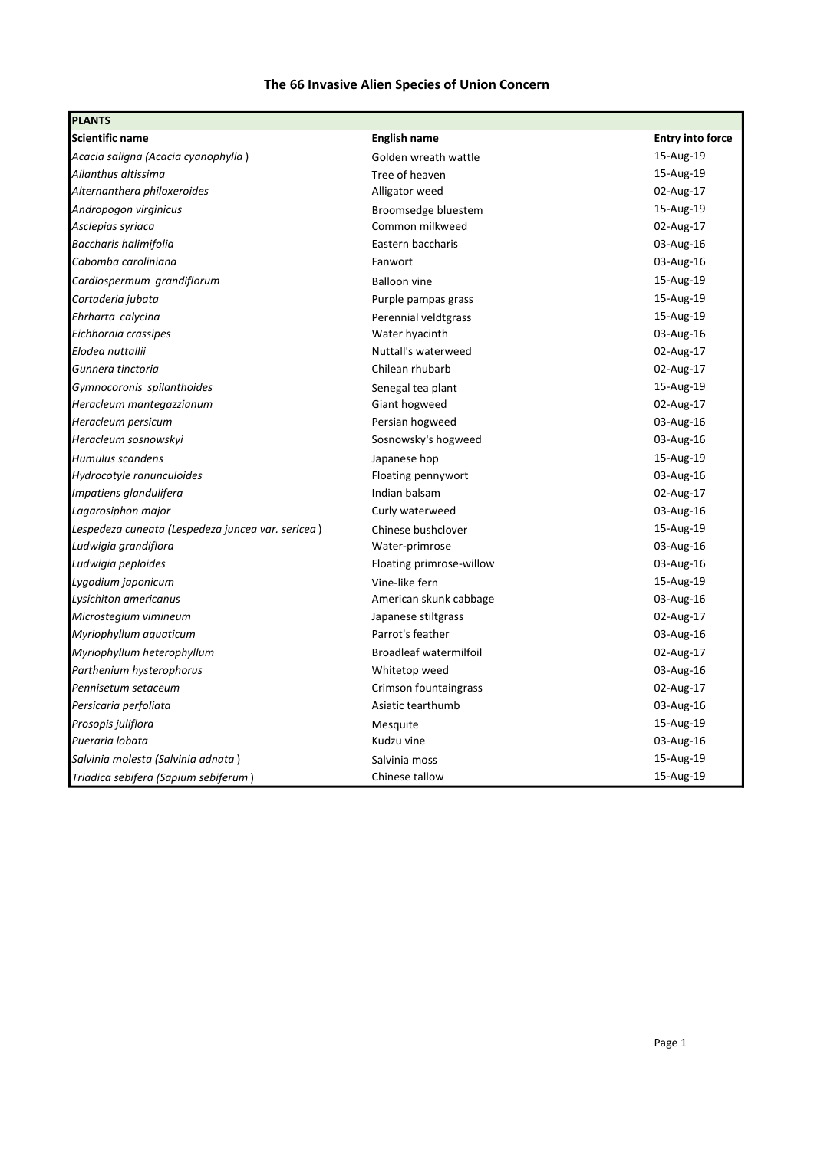## The 66 Invasive Alien Species of Union Concern

| <b>PLANTS</b>                                     |                               |                         |
|---------------------------------------------------|-------------------------------|-------------------------|
| <b>Scientific name</b>                            | <b>English name</b>           | <b>Entry into force</b> |
| Acacia saligna (Acacia cyanophylla)               | Golden wreath wattle          | 15-Aug-19               |
| Ailanthus altissima                               | Tree of heaven                | 15-Aug-19               |
| Alternanthera philoxeroides                       | Alligator weed                | 02-Aug-17               |
| Andropogon virginicus                             | Broomsedge bluestem           | 15-Aug-19               |
| Asclepias syriaca                                 | Common milkweed               | 02-Aug-17               |
| Baccharis halimifolia                             | Eastern baccharis             | 03-Aug-16               |
| Cabomba caroliniana                               | Fanwort                       | 03-Aug-16               |
| Cardiospermum grandiflorum                        | <b>Balloon vine</b>           | 15-Aug-19               |
| Cortaderia jubata                                 | Purple pampas grass           | 15-Aug-19               |
| Ehrharta calycina                                 | Perennial veldtgrass          | 15-Aug-19               |
| Eichhornia crassipes                              | Water hyacinth                | 03-Aug-16               |
| Elodea nuttallii                                  | Nuttall's waterweed           | 02-Aug-17               |
| Gunnera tinctoria                                 | Chilean rhubarb               | 02-Aug-17               |
| Gymnocoronis spilanthoides                        | Senegal tea plant             | 15-Aug-19               |
| Heracleum mantegazzianum                          | Giant hogweed                 | 02-Aug-17               |
| Heracleum persicum                                | Persian hogweed               | 03-Aug-16               |
| Heracleum sosnowskyi                              | Sosnowsky's hogweed           | 03-Aug-16               |
| Humulus scandens                                  | Japanese hop                  | 15-Aug-19               |
| Hydrocotyle ranunculoides                         | Floating pennywort            | 03-Aug-16               |
| Impatiens glandulifera                            | Indian balsam                 | 02-Aug-17               |
| Lagarosiphon major                                | Curly waterweed               | 03-Aug-16               |
| Lespedeza cuneata (Lespedeza juncea var. sericea) | Chinese bushclover            | 15-Aug-19               |
| Ludwigia grandiflora                              | Water-primrose                | 03-Aug-16               |
| Ludwigia peploides                                | Floating primrose-willow      | 03-Aug-16               |
| Lygodium japonicum                                | Vine-like fern                | 15-Aug-19               |
| Lysichiton americanus                             | American skunk cabbage        | 03-Aug-16               |
| Microstegium vimineum                             | Japanese stiltgrass           | 02-Aug-17               |
| Myriophyllum aquaticum                            | Parrot's feather              | 03-Aug-16               |
| Myriophyllum heterophyllum                        | <b>Broadleaf watermilfoil</b> | 02-Aug-17               |
| Parthenium hysterophorus                          | Whitetop weed                 | 03-Aug-16               |
| Pennisetum setaceum                               | Crimson fountaingrass         | 02-Aug-17               |
| Persicaria perfoliata                             | Asiatic tearthumb             | 03-Aug-16               |
| Prosopis juliflora                                | Mesquite                      | 15-Aug-19               |
| Pueraria lobata                                   | Kudzu vine                    | 03-Aug-16               |
| Salvinia molesta (Salvinia adnata)                | Salvinia moss                 | 15-Aug-19               |
| Triadica sebifera (Sapium sebiferum)              | Chinese tallow                | 15-Aug-19               |